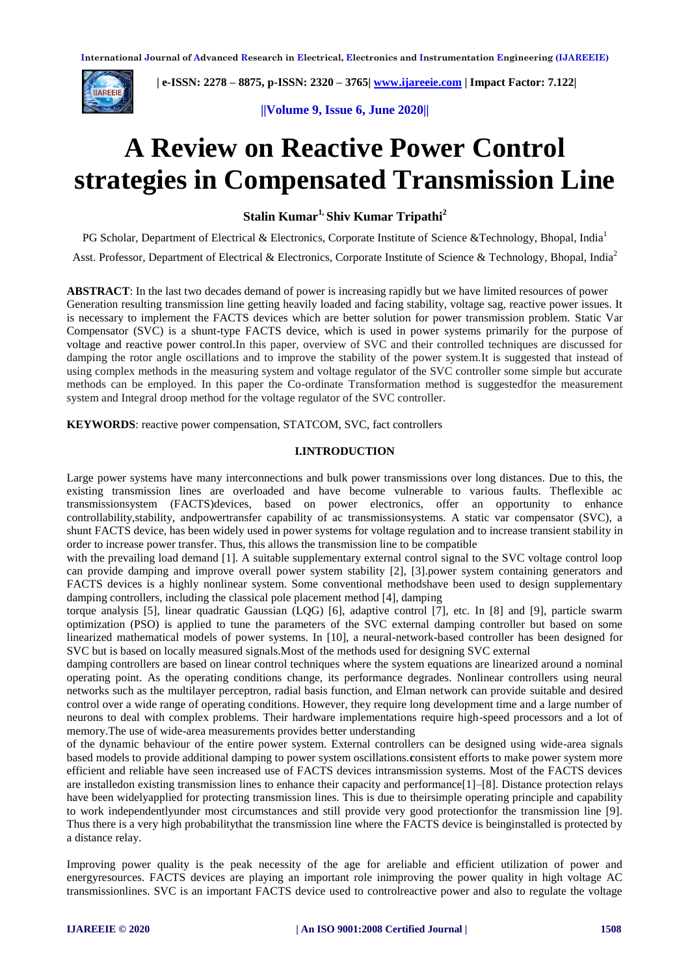

 **| e-ISSN: 2278 – 8875, p-ISSN: 2320 – 3765[| www.ijareeie.com](http://www.ijareeie.com/) | Impact Factor: 7.122|** 

**||Volume 9, Issue 6, June 2020||**

# **A Review on Reactive Power Control strategies in Compensated Transmission Line**

**Stalin Kumar1, Shiv Kumar Tripathi<sup>2</sup>**

PG Scholar, Department of Electrical & Electronics, Corporate Institute of Science &Technology, Bhopal, India<sup>1</sup>

Asst. Professor, Department of Electrical & Electronics, Corporate Institute of Science & Technology, Bhopal, India<sup>2</sup>

**ABSTRACT**: In the last two decades demand of power is increasing rapidly but we have limited resources of power Generation resulting transmission line getting heavily loaded and facing stability, voltage sag, reactive power issues. It is necessary to implement the FACTS devices which are better solution for power transmission problem. Static Var Compensator (SVC) is a shunt-type FACTS device, which is used in power systems primarily for the purpose of voltage and reactive power control.In this paper, overview of SVC and their controlled techniques are discussed for damping the rotor angle oscillations and to improve the stability of the power system.It is suggested that instead of using complex methods in the measuring system and voltage regulator of the SVC controller some simple but accurate methods can be employed. In this paper the Co-ordinate Transformation method is suggestedfor the measurement system and Integral droop method for the voltage regulator of the SVC controller.

**KEYWORDS**: reactive power compensation, STATCOM, SVC, fact controllers

#### **I.INTRODUCTION**

Large power systems have many interconnections and bulk power transmissions over long distances. Due to this, the existing transmission lines are overloaded and have become vulnerable to various faults. Theflexible ac transmissionsystem (FACTS)devices, based on power electronics, offer an opportunity to enhance controllability,stability, andpowertransfer capability of ac transmissionsystems. A static var compensator (SVC), a shunt FACTS device, has been widely used in power systems for voltage regulation and to increase transient stability in order to increase power transfer. Thus, this allows the transmission line to be compatible

with the prevailing load demand [1]. A suitable supplementary external control signal to the SVC voltage control loop can provide damping and improve overall power system stability [2], [3].power system containing generators and FACTS devices is a highly nonlinear system. Some conventional methodshave been used to design supplementary damping controllers, including the classical pole placement method [4], damping

torque analysis [5], linear quadratic Gaussian (LQG) [6], adaptive control [7], etc. In [8] and [9], particle swarm optimization (PSO) is applied to tune the parameters of the SVC external damping controller but based on some linearized mathematical models of power systems. In [10], a neural-network-based controller has been designed for SVC but is based on locally measured signals.Most of the methods used for designing SVC external

damping controllers are based on linear control techniques where the system equations are linearized around a nominal operating point. As the operating conditions change, its performance degrades. Nonlinear controllers using neural networks such as the multilayer perceptron, radial basis function, and Elman network can provide suitable and desired control over a wide range of operating conditions. However, they require long development time and a large number of neurons to deal with complex problems. Their hardware implementations require high-speed processors and a lot of memory.The use of wide-area measurements provides better understanding

of the dynamic behaviour of the entire power system. External controllers can be designed using wide-area signals based models to provide additional damping to power system oscillations.**c**onsistent efforts to make power system more efficient and reliable have seen increased use of FACTS devices intransmission systems. Most of the FACTS devices are installedon existing transmission lines to enhance their capacity and performance[1]–[8]. Distance protection relays have been widelyapplied for protecting transmission lines. This is due to theirsimple operating principle and capability to work independentlyunder most circumstances and still provide very good protectionfor the transmission line [9]. Thus there is a very high probabilitythat the transmission line where the FACTS device is beinginstalled is protected by a distance relay.

Improving power quality is the peak necessity of the age for areliable and efficient utilization of power and energyresources. FACTS devices are playing an important role inimproving the power quality in high voltage AC transmissionlines. SVC is an important FACTS device used to controlreactive power and also to regulate the voltage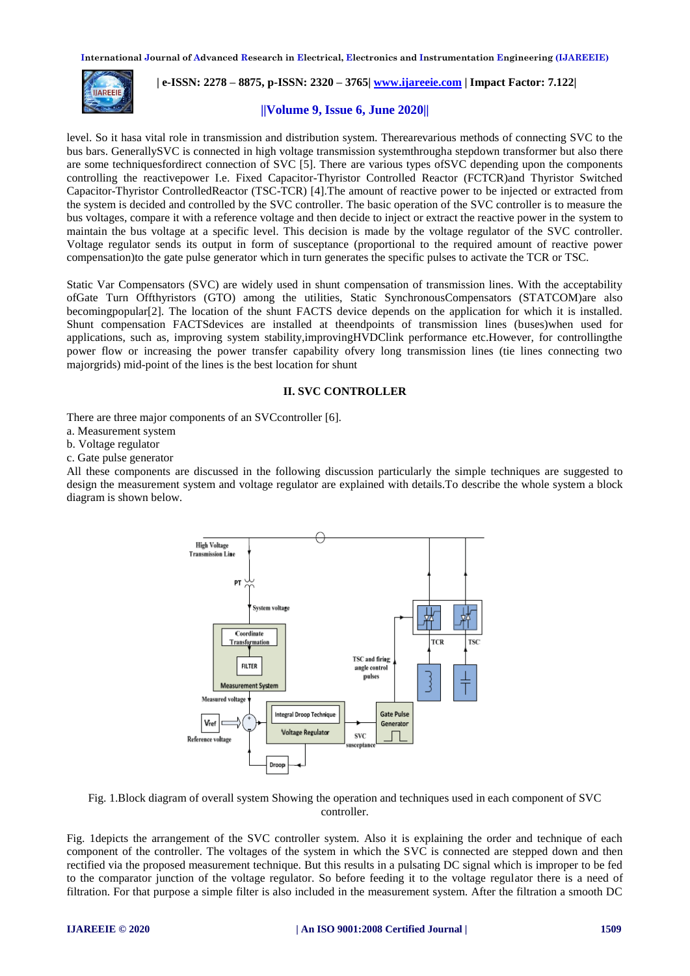

 **| e-ISSN: 2278 – 8875, p-ISSN: 2320 – 3765[| www.ijareeie.com](http://www.ijareeie.com/) | Impact Factor: 7.122|** 

# **||Volume 9, Issue 6, June 2020||**

level. So it hasa vital role in transmission and distribution system. Therearevarious methods of connecting SVC to the bus bars. GenerallySVC is connected in high voltage transmission systemthrougha stepdown transformer but also there are some techniquesfordirect connection of SVC [5]. There are various types ofSVC depending upon the components controlling the reactivepower I.e. Fixed Capacitor-Thyristor Controlled Reactor (FCTCR)and Thyristor Switched Capacitor-Thyristor ControlledReactor (TSC-TCR) [4].The amount of reactive power to be injected or extracted from the system is decided and controlled by the SVC controller. The basic operation of the SVC controller is to measure the bus voltages, compare it with a reference voltage and then decide to inject or extract the reactive power in the system to maintain the bus voltage at a specific level. This decision is made by the voltage regulator of the SVC controller. Voltage regulator sends its output in form of susceptance (proportional to the required amount of reactive power compensation)to the gate pulse generator which in turn generates the specific pulses to activate the TCR or TSC.

Static Var Compensators (SVC) are widely used in shunt compensation of transmission lines. With the acceptability ofGate Turn Offthyristors (GTO) among the utilities, Static SynchronousCompensators (STATCOM)are also becomingpopular[2]. The location of the shunt FACTS device depends on the application for which it is installed. Shunt compensation FACTSdevices are installed at theendpoints of transmission lines (buses)when used for applications, such as, improving system stability,improvingHVDClink performance etc.However, for controllingthe power flow or increasing the power transfer capability ofvery long transmission lines (tie lines connecting two majorgrids) mid-point of the lines is the best location for shunt

## **II. SVC CONTROLLER**

There are three major components of an SVCcontroller [6].

- a. Measurement system
- b. Voltage regulator
- c. Gate pulse generator

All these components are discussed in the following discussion particularly the simple techniques are suggested to design the measurement system and voltage regulator are explained with details.To describe the whole system a block diagram is shown below.



Fig. 1.Block diagram of overall system Showing the operation and techniques used in each component of SVC controller.

Fig. 1depicts the arrangement of the SVC controller system. Also it is explaining the order and technique of each component of the controller. The voltages of the system in which the SVC is connected are stepped down and then rectified via the proposed measurement technique. But this results in a pulsating DC signal which is improper to be fed to the comparator junction of the voltage regulator. So before feeding it to the voltage regulator there is a need of filtration. For that purpose a simple filter is also included in the measurement system. After the filtration a smooth DC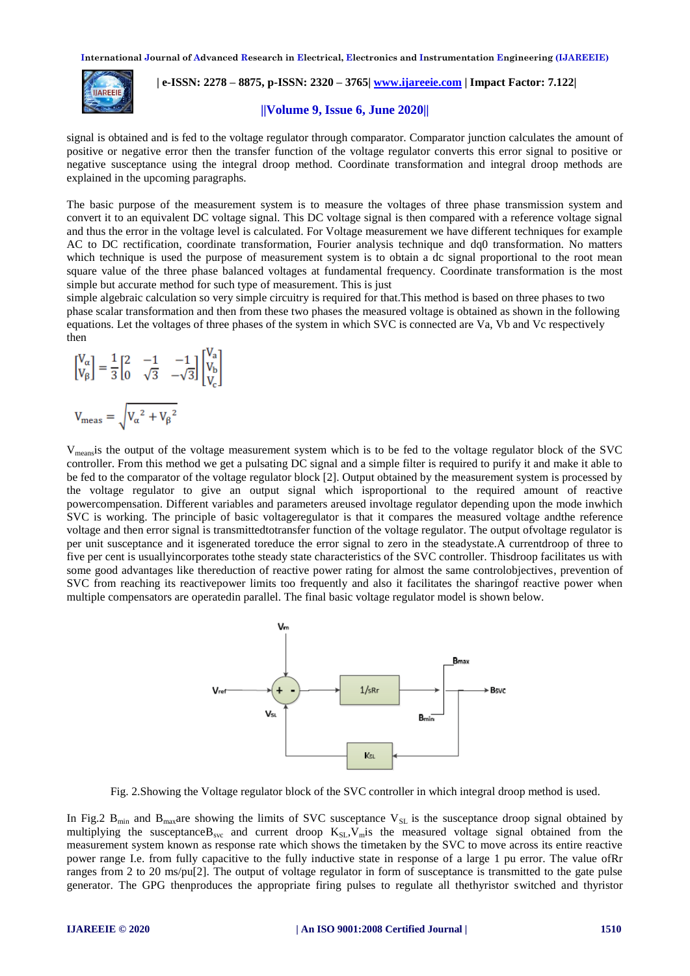

 **| e-ISSN: 2278 – 8875, p-ISSN: 2320 – 3765[| www.ijareeie.com](http://www.ijareeie.com/) | Impact Factor: 7.122|** 

## **||Volume 9, Issue 6, June 2020||**

signal is obtained and is fed to the voltage regulator through comparator. Comparator junction calculates the amount of positive or negative error then the transfer function of the voltage regulator converts this error signal to positive or negative susceptance using the integral droop method. Coordinate transformation and integral droop methods are explained in the upcoming paragraphs.

The basic purpose of the measurement system is to measure the voltages of three phase transmission system and convert it to an equivalent DC voltage signal. This DC voltage signal is then compared with a reference voltage signal and thus the error in the voltage level is calculated. For Voltage measurement we have different techniques for example AC to DC rectification, coordinate transformation, Fourier analysis technique and dq0 transformation. No matters which technique is used the purpose of measurement system is to obtain a dc signal proportional to the root mean square value of the three phase balanced voltages at fundamental frequency. Coordinate transformation is the most simple but accurate method for such type of measurement. This is just

simple algebraic calculation so very simple circuitry is required for that.This method is based on three phases to two phase scalar transformation and then from these two phases the measured voltage is obtained as shown in the following equations. Let the voltages of three phases of the system in which SVC is connected are Va, Vb and Vc respectively then

$$
\begin{bmatrix}\nV_{\alpha} \\
V_{\beta}\n\end{bmatrix} = \frac{1}{3} \begin{bmatrix}\n2 & -1 & -1 \\
0 & \sqrt{3} & -\sqrt{3}\n\end{bmatrix} \begin{bmatrix}\nV_{\alpha} \\
V_{\beta} \\
V_{C}\n\end{bmatrix}
$$
\n
$$
V_{\text{meas}} = \sqrt{V_{\alpha}^2 + V_{\beta}^2}
$$

Vmeansis the output of the voltage measurement system which is to be fed to the voltage regulator block of the SVC controller. From this method we get a pulsating DC signal and a simple filter is required to purify it and make it able to be fed to the comparator of the voltage regulator block [2]. Output obtained by the measurement system is processed by the voltage regulator to give an output signal which isproportional to the required amount of reactive powercompensation. Different variables and parameters areused involtage regulator depending upon the mode inwhich SVC is working. The principle of basic voltageregulator is that it compares the measured voltage andthe reference voltage and then error signal is transmittedtotransfer function of the voltage regulator. The output ofvoltage regulator is per unit susceptance and it isgenerated toreduce the error signal to zero in the steadystate.A currentdroop of three to five per cent is usuallyincorporates tothe steady state characteristics of the SVC controller. Thisdroop facilitates us with some good advantages like thereduction of reactive power rating for almost the same controlobjectives, prevention of SVC from reaching its reactivepower limits too frequently and also it facilitates the sharingof reactive power when multiple compensators are operatedin parallel. The final basic voltage regulator model is shown below.



Fig. 2.Showing the Voltage regulator block of the SVC controller in which integral droop method is used.

In Fig.2  $B_{min}$  and  $B_{max}$  are showing the limits of SVC susceptance  $V_{SL}$  is the susceptance droop signal obtained by multiplying the susceptance B<sub>svc</sub> and current droop  $K_{\text{SI}}$ ,  $V_{\text{m}}$  is the measured voltage signal obtained from the measurement system known as response rate which shows the timetaken by the SVC to move across its entire reactive power range I.e. from fully capacitive to the fully inductive state in response of a large 1 pu error. The value ofRr ranges from 2 to 20 ms/pu[2]. The output of voltage regulator in form of susceptance is transmitted to the gate pulse generator. The GPG thenproduces the appropriate firing pulses to regulate all thethyristor switched and thyristor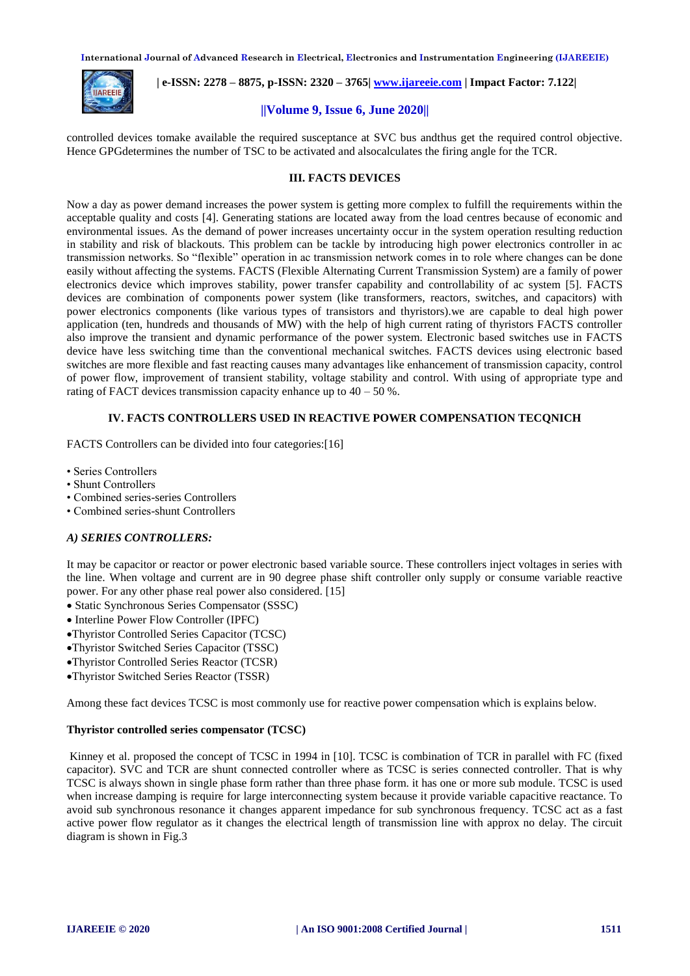

 **| e-ISSN: 2278 – 8875, p-ISSN: 2320 – 3765[| www.ijareeie.com](http://www.ijareeie.com/) | Impact Factor: 7.122|** 

# **||Volume 9, Issue 6, June 2020||**

controlled devices tomake available the required susceptance at SVC bus andthus get the required control objective. Hence GPGdetermines the number of TSC to be activated and alsocalculates the firing angle for the TCR.

# **III. FACTS DEVICES**

Now a day as power demand increases the power system is getting more complex to fulfill the requirements within the acceptable quality and costs [4]. Generating stations are located away from the load centres because of economic and environmental issues. As the demand of power increases uncertainty occur in the system operation resulting reduction in stability and risk of blackouts. This problem can be tackle by introducing high power electronics controller in ac transmission networks. So "flexible" operation in ac transmission network comes in to role where changes can be done easily without affecting the systems. FACTS (Flexible Alternating Current Transmission System) are a family of power electronics device which improves stability, power transfer capability and controllability of ac system [5]. FACTS devices are combination of components power system (like transformers, reactors, switches, and capacitors) with power electronics components (like various types of transistors and thyristors).we are capable to deal high power application (ten, hundreds and thousands of MW) with the help of high current rating of thyristors FACTS controller also improve the transient and dynamic performance of the power system. Electronic based switches use in FACTS device have less switching time than the conventional mechanical switches. FACTS devices using electronic based switches are more flexible and fast reacting causes many advantages like enhancement of transmission capacity, control of power flow, improvement of transient stability, voltage stability and control. With using of appropriate type and rating of FACT devices transmission capacity enhance up to  $40 - 50$  %.

# **IV. FACTS CONTROLLERS USED IN REACTIVE POWER COMPENSATION TECQNICH**

FACTS Controllers can be divided into four categories:[16]

- Series Controllers
- Shunt Controllers
- Combined series-series Controllers
- Combined series-shunt Controllers

## *A) SERIES CONTROLLERS:*

It may be capacitor or reactor or power electronic based variable source. These controllers inject voltages in series with the line. When voltage and current are in 90 degree phase shift controller only supply or consume variable reactive power. For any other phase real power also considered. [15]

- Static Synchronous Series Compensator (SSSC)
- Interline Power Flow Controller (IPFC)
- Thyristor Controlled Series Capacitor (TCSC)
- Thyristor Switched Series Capacitor (TSSC)
- Thyristor Controlled Series Reactor (TCSR)
- Thyristor Switched Series Reactor (TSSR)

Among these fact devices TCSC is most commonly use for reactive power compensation which is explains below.

#### **Thyristor controlled series compensator (TCSC)**

Kinney et al. proposed the concept of TCSC in 1994 in [10]. TCSC is combination of TCR in parallel with FC (fixed capacitor). SVC and TCR are shunt connected controller where as TCSC is series connected controller. That is why TCSC is always shown in single phase form rather than three phase form. it has one or more sub module. TCSC is used when increase damping is require for large interconnecting system because it provide variable capacitive reactance. To avoid sub synchronous resonance it changes apparent impedance for sub synchronous frequency. TCSC act as a fast active power flow regulator as it changes the electrical length of transmission line with approx no delay. The circuit diagram is shown in Fig.3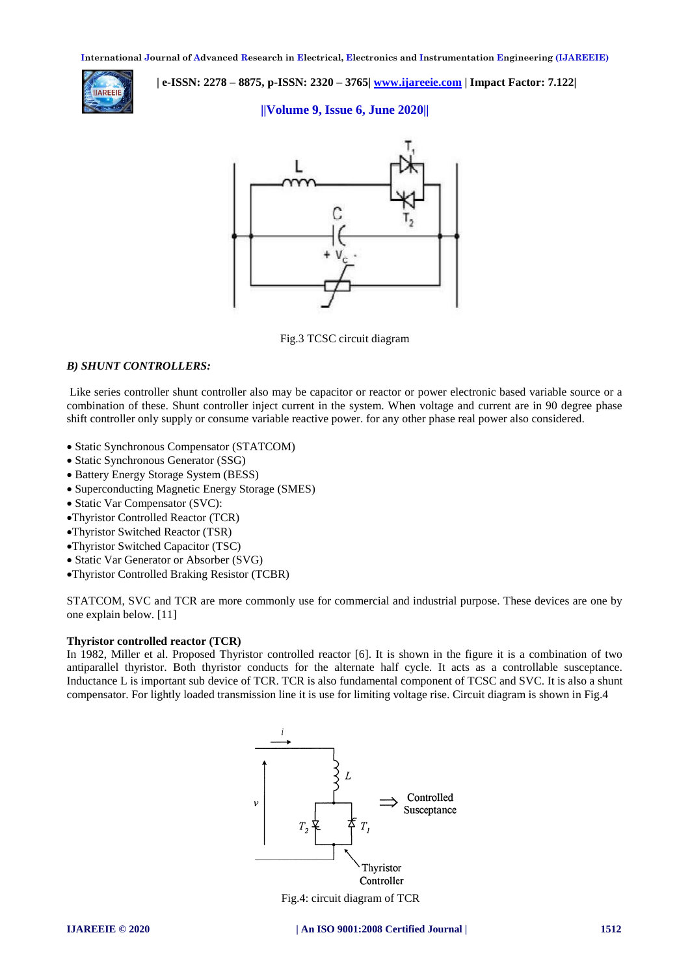

 **| e-ISSN: 2278 – 8875, p-ISSN: 2320 – 3765[| www.ijareeie.com](http://www.ijareeie.com/) | Impact Factor: 7.122|** 

**||Volume 9, Issue 6, June 2020||**



Fig.3 TCSC circuit diagram

# *B) SHUNT CONTROLLERS:*

Like series controller shunt controller also may be capacitor or reactor or power electronic based variable source or a combination of these. Shunt controller inject current in the system. When voltage and current are in 90 degree phase shift controller only supply or consume variable reactive power. for any other phase real power also considered.

- Static Synchronous Compensator (STATCOM)
- Static Synchronous Generator (SSG)
- Battery Energy Storage System (BESS)
- Superconducting Magnetic Energy Storage (SMES)
- Static Var Compensator (SVC):
- Thyristor Controlled Reactor (TCR)
- Thyristor Switched Reactor (TSR)
- Thyristor Switched Capacitor (TSC)
- Static Var Generator or Absorber (SVG)
- Thyristor Controlled Braking Resistor (TCBR)

STATCOM, SVC and TCR are more commonly use for commercial and industrial purpose. These devices are one by one explain below. [11]

# **Thyristor controlled reactor (TCR)**

In 1982, Miller et al. Proposed Thyristor controlled reactor [6]. It is shown in the figure it is a combination of two antiparallel thyristor. Both thyristor conducts for the alternate half cycle. It acts as a controllable susceptance. Inductance L is important sub device of TCR. TCR is also fundamental component of TCSC and SVC. It is also a shunt compensator. For lightly loaded transmission line it is use for limiting voltage rise. Circuit diagram is shown in Fig.4



Fig.4: circuit diagram of TCR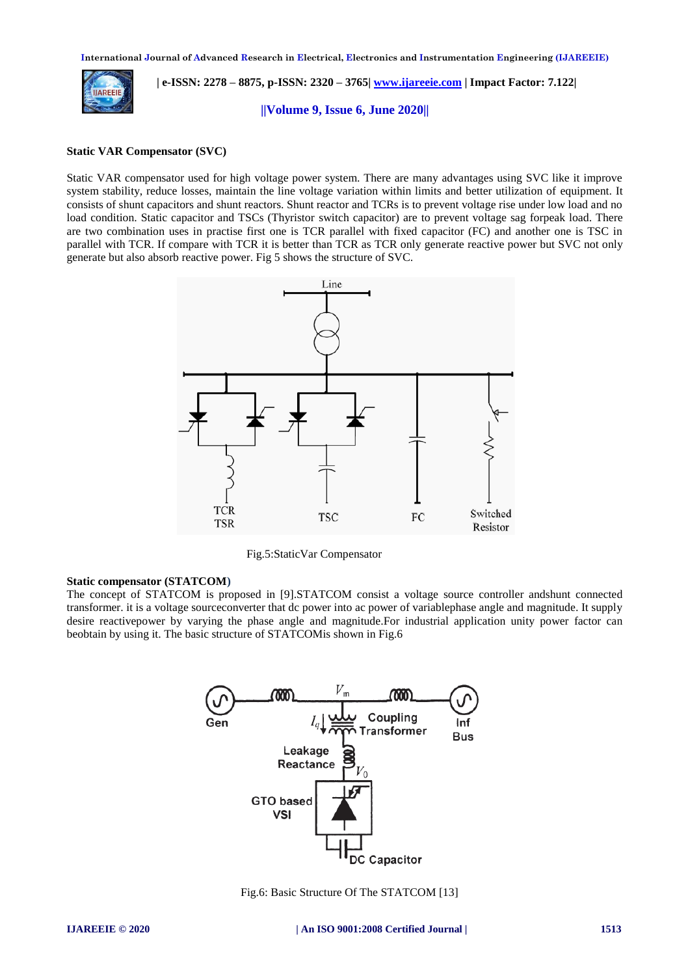

 **| e-ISSN: 2278 – 8875, p-ISSN: 2320 – 3765[| www.ijareeie.com](http://www.ijareeie.com/) | Impact Factor: 7.122|** 

**||Volume 9, Issue 6, June 2020||**

# **Static VAR Compensator (SVC)**

Static VAR compensator used for high voltage power system. There are many advantages using SVC like it improve system stability, reduce losses, maintain the line voltage variation within limits and better utilization of equipment. It consists of shunt capacitors and shunt reactors. Shunt reactor and TCRs is to prevent voltage rise under low load and no load condition. Static capacitor and TSCs (Thyristor switch capacitor) are to prevent voltage sag forpeak load. There are two combination uses in practise first one is TCR parallel with fixed capacitor (FC) and another one is TSC in parallel with TCR. If compare with TCR it is better than TCR as TCR only generate reactive power but SVC not only generate but also absorb reactive power. Fig 5 shows the structure of SVC.



Fig.5:StaticVar Compensator

#### **Static compensator (STATCOM)**

The concept of STATCOM is proposed in [9].STATCOM consist a voltage source controller andshunt connected transformer. it is a voltage sourceconverter that dc power into ac power of variablephase angle and magnitude. It supply desire reactivepower by varying the phase angle and magnitude.For industrial application unity power factor can beobtain by using it. The basic structure of STATCOMis shown in Fig.6



Fig.6: Basic Structure Of The STATCOM [13]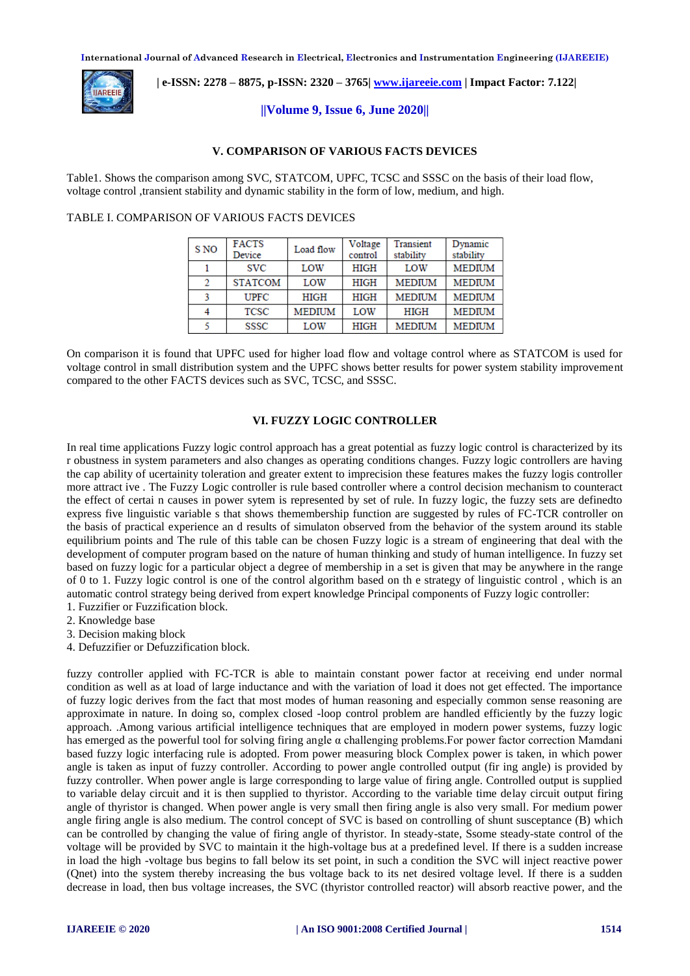

 **| e-ISSN: 2278 – 8875, p-ISSN: 2320 – 3765[| www.ijareeie.com](http://www.ijareeie.com/) | Impact Factor: 7.122|** 

## **||Volume 9, Issue 6, June 2020||**

## **V. COMPARISON OF VARIOUS FACTS DEVICES**

Table1. Shows the comparison among SVC, STATCOM, UPFC, TCSC and SSSC on the basis of their load flow, voltage control ,transient stability and dynamic stability in the form of low, medium, and high.

#### TABLE I. COMPARISON OF VARIOUS FACTS DEVICES

| S NO          | <b>FACTS</b>   | Load flow     | Voltage     | Transient     | Dynamic       |
|---------------|----------------|---------------|-------------|---------------|---------------|
|               | Device         |               | control     | stability     | stability     |
|               | <b>SVC</b>     | LOW           | HIGH        | LOW           | <b>MEDIUM</b> |
| $\mathcal{D}$ | <b>STATCOM</b> | LOW           | <b>HIGH</b> | <b>MEDIUM</b> | <b>MEDIUM</b> |
|               | <b>UPFC</b>    | HIGH          | <b>HIGH</b> | <b>MEDIUM</b> | <b>MEDIUM</b> |
|               | <b>TCSC</b>    | <b>MEDIUM</b> | LOW         | <b>HIGH</b>   | <b>MEDIUM</b> |
|               | SSSC           | LOW           | <b>HIGH</b> | <b>MEDIUM</b> | <b>MEDIUM</b> |

On comparison it is found that UPFC used for higher load flow and voltage control where as STATCOM is used for voltage control in small distribution system and the UPFC shows better results for power system stability improvement compared to the other FACTS devices such as SVC, TCSC, and SSSC.

# **VI. FUZZY LOGIC CONTROLLER**

In real time applications Fuzzy logic control approach has a great potential as fuzzy logic control is characterized by its r obustness in system parameters and also changes as operating conditions changes. Fuzzy logic controllers are having the cap ability of ucertainity toleration and greater extent to imprecision these features makes the fuzzy logis controller more attract ive . The Fuzzy Logic controller is rule based controller where a control decision mechanism to counteract the effect of certai n causes in power sytem is represented by set of rule. In fuzzy logic, the fuzzy sets are definedto express five linguistic variable s that shows themembership function are suggested by rules of FC-TCR controller on the basis of practical experience an d results of simulaton observed from the behavior of the system around its stable equilibrium points and The rule of this table can be chosen Fuzzy logic is a stream of engineering that deal with the development of computer program based on the nature of human thinking and study of human intelligence. In fuzzy set based on fuzzy logic for a particular object a degree of membership in a set is given that may be anywhere in the range of 0 to 1. Fuzzy logic control is one of the control algorithm based on th e strategy of linguistic control , which is an automatic control strategy being derived from expert knowledge Principal components of Fuzzy logic controller:

- 1. Fuzzifier or Fuzzification block.
- 2. Knowledge base
- 3. Decision making block
- 4. Defuzzifier or Defuzzification block.

fuzzy controller applied with FC-TCR is able to maintain constant power factor at receiving end under normal condition as well as at load of large inductance and with the variation of load it does not get effected. The importance of fuzzy logic derives from the fact that most modes of human reasoning and especially common sense reasoning are approximate in nature. In doing so, complex closed -loop control problem are handled efficiently by the fuzzy logic approach. .Among various artificial intelligence techniques that are employed in modern power systems, fuzzy logic has emerged as the powerful tool for solving firing angle α challenging problems.For power factor correction Mamdani based fuzzy logic interfacing rule is adopted. From power measuring block Complex power is taken, in which power angle is taken as input of fuzzy controller. According to power angle controlled output (fir ing angle) is provided by fuzzy controller. When power angle is large corresponding to large value of firing angle. Controlled output is supplied to variable delay circuit and it is then supplied to thyristor. According to the variable time delay circuit output firing angle of thyristor is changed. When power angle is very small then firing angle is also very small. For medium power angle firing angle is also medium. The control concept of SVC is based on controlling of shunt susceptance (B) which can be controlled by changing the value of firing angle of thyristor. In steady-state, Ssome steady-state control of the voltage will be provided by SVC to maintain it the high-voltage bus at a predefined level. If there is a sudden increase in load the high -voltage bus begins to fall below its set point, in such a condition the SVC will inject reactive power (Qnet) into the system thereby increasing the bus voltage back to its net desired voltage level. If there is a sudden decrease in load, then bus voltage increases, the SVC (thyristor controlled reactor) will absorb reactive power, and the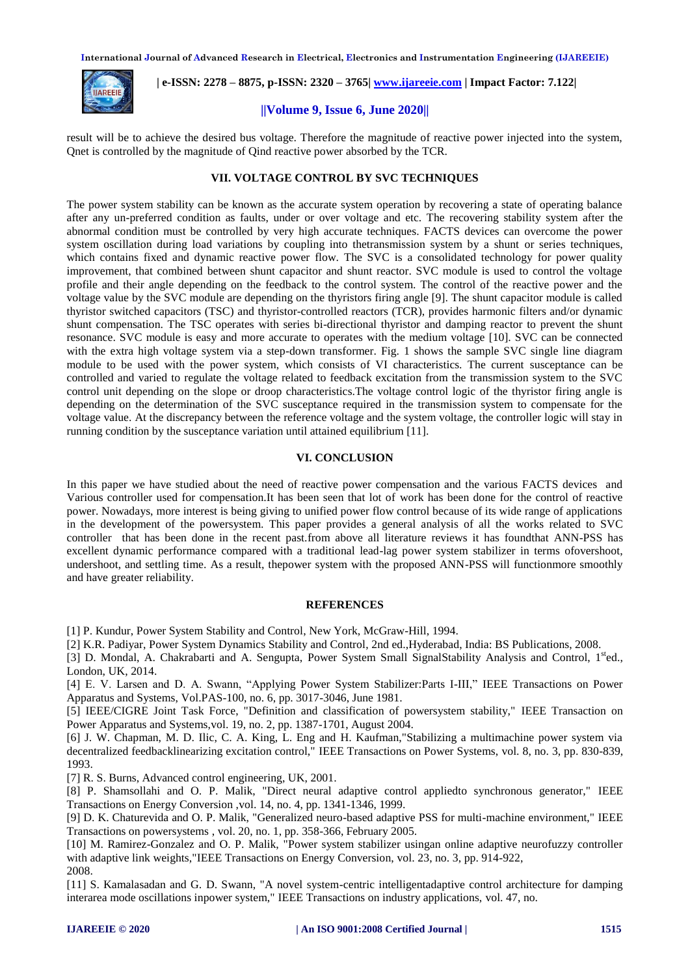

 **| e-ISSN: 2278 – 8875, p-ISSN: 2320 – 3765[| www.ijareeie.com](http://www.ijareeie.com/) | Impact Factor: 7.122|** 

### **||Volume 9, Issue 6, June 2020||**

result will be to achieve the desired bus voltage. Therefore the magnitude of reactive power injected into the system, Qnet is controlled by the magnitude of Qind reactive power absorbed by the TCR.

# **VII. VOLTAGE CONTROL BY SVC TECHNIQUES**

The power system stability can be known as the accurate system operation by recovering a state of operating balance after any un-preferred condition as faults, under or over voltage and etc. The recovering stability system after the abnormal condition must be controlled by very high accurate techniques. FACTS devices can overcome the power system oscillation during load variations by coupling into thetransmission system by a shunt or series techniques, which contains fixed and dynamic reactive power flow. The SVC is a consolidated technology for power quality improvement, that combined between shunt capacitor and shunt reactor. SVC module is used to control the voltage profile and their angle depending on the feedback to the control system. The control of the reactive power and the voltage value by the SVC module are depending on the thyristors firing angle [9]. The shunt capacitor module is called thyristor switched capacitors (TSC) and thyristor-controlled reactors (TCR), provides harmonic filters and/or dynamic shunt compensation. The TSC operates with series bi-directional thyristor and damping reactor to prevent the shunt resonance. SVC module is easy and more accurate to operates with the medium voltage [10]. SVC can be connected with the extra high voltage system via a step-down transformer. Fig. 1 shows the sample SVC single line diagram module to be used with the power system, which consists of VI characteristics. The current susceptance can be controlled and varied to regulate the voltage related to feedback excitation from the transmission system to the SVC control unit depending on the slope or droop characteristics.The voltage control logic of the thyristor firing angle is depending on the determination of the SVC susceptance required in the transmission system to compensate for the voltage value. At the discrepancy between the reference voltage and the system voltage, the controller logic will stay in running condition by the susceptance variation until attained equilibrium [11].

#### **VI. CONCLUSION**

In this paper we have studied about the need of reactive power compensation and the various FACTS devices and Various controller used for compensation.It has been seen that lot of work has been done for the control of reactive power. Nowadays, more interest is being giving to unified power flow control because of its wide range of applications in the development of the powersystem. This paper provides a general analysis of all the works related to SVC controller that has been done in the recent past.from above all literature reviews it has foundthat ANN-PSS has excellent dynamic performance compared with a traditional lead-lag power system stabilizer in terms ofovershoot, undershoot, and settling time. As a result, thepower system with the proposed ANN-PSS will functionmore smoothly and have greater reliability.

#### **REFERENCES**

[1] P. Kundur, Power System Stability and Control, New York, McGraw-Hill, 1994.

[2] K.R. Padiyar, Power System Dynamics Stability and Control, 2nd ed.,Hyderabad, India: BS Publications, 2008.

[3] D. Mondal, A. Chakrabarti and A. Sengupta, Power System Small SignalStability Analysis and Control, 1<sup>st</sup>ed., London, UK, 2014.

[4] E. V. Larsen and D. A. Swann, "Applying Power System Stabilizer:Parts I-III," IEEE Transactions on Power Apparatus and Systems, Vol.PAS-100, no. 6, pp. 3017-3046, June 1981.

[5] IEEE/CIGRE Joint Task Force, "Definition and classification of powersystem stability," IEEE Transaction on Power Apparatus and Systems,vol. 19, no. 2, pp. 1387-1701, August 2004.

[6] J. W. Chapman, M. D. Ilic, C. A. King, L. Eng and H. Kaufman,"Stabilizing a multimachine power system via decentralized feedbacklinearizing excitation control," IEEE Transactions on Power Systems, vol. 8, no. 3, pp. 830-839, 1993.

[7] R. S. Burns, Advanced control engineering, UK, 2001.

[8] P. Shamsollahi and O. P. Malik, "Direct neural adaptive control appliedto synchronous generator," IEEE Transactions on Energy Conversion ,vol. 14, no. 4, pp. 1341-1346, 1999.

[9] D. K. Chaturevida and O. P. Malik, "Generalized neuro-based adaptive PSS for multi-machine environment," IEEE Transactions on powersystems , vol. 20, no. 1, pp. 358-366, February 2005.

[10] M. Ramirez-Gonzalez and O. P. Malik, "Power system stabilizer usingan online adaptive neurofuzzy controller with adaptive link weights, "IEEE Transactions on Energy Conversion, vol. 23, no. 3, pp. 914-922, 2008.

[11] S. Kamalasadan and G. D. Swann, "A novel system-centric intelligentadaptive control architecture for damping interarea mode oscillations inpower system," IEEE Transactions on industry applications, vol. 47, no.